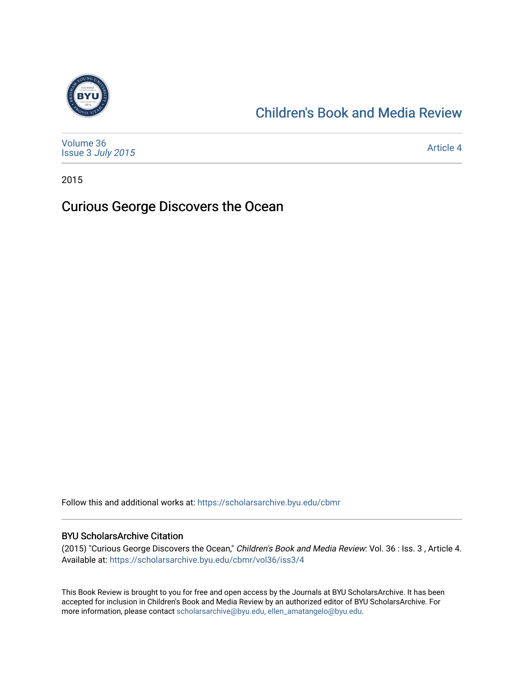

## [Children's Book and Media Review](https://scholarsarchive.byu.edu/cbmr)

| Volume 36<br>Issue 3 July 2015 | <b>Article 4</b> |
|--------------------------------|------------------|
|--------------------------------|------------------|

2015

## Curious George Discovers the Ocean

Follow this and additional works at: [https://scholarsarchive.byu.edu/cbmr](https://scholarsarchive.byu.edu/cbmr?utm_source=scholarsarchive.byu.edu%2Fcbmr%2Fvol36%2Fiss3%2F4&utm_medium=PDF&utm_campaign=PDFCoverPages) 

## BYU ScholarsArchive Citation

(2015) "Curious George Discovers the Ocean," Children's Book and Media Review: Vol. 36 : Iss. 3 , Article 4. Available at: [https://scholarsarchive.byu.edu/cbmr/vol36/iss3/4](https://scholarsarchive.byu.edu/cbmr/vol36/iss3/4?utm_source=scholarsarchive.byu.edu%2Fcbmr%2Fvol36%2Fiss3%2F4&utm_medium=PDF&utm_campaign=PDFCoverPages) 

This Book Review is brought to you for free and open access by the Journals at BYU ScholarsArchive. It has been accepted for inclusion in Children's Book and Media Review by an authorized editor of BYU ScholarsArchive. For more information, please contact [scholarsarchive@byu.edu, ellen\\_amatangelo@byu.edu.](mailto:scholarsarchive@byu.edu,%20ellen_amatangelo@byu.edu)